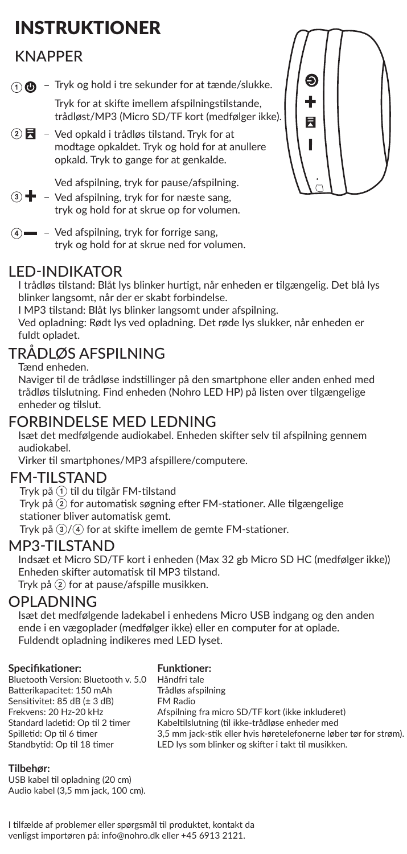# INSTRUKTIONER

## **KNAPPFR**

 $\bigcap$   $\bigoplus$  - Tryk og hold i tre sekunder for at tænde/slukke.

Tryk for at skifte imellem afspilningstilstande, trådløst/MP3 (Micro SD/TF kort (medfølger ikke).

 $\overline{Q}$   $\overline{R}$  – Ved opkald i trådløs tilstand. Tryk for at modtage opkaldet. Tryk og hold for at anullere opkald. Tryk to gange for at genkalde.

Ved afspilning, tryk for pause/afspilning.

- $\mathcal{D}$  +  $\blacksquare$  Ved afspilning, tryk for for næste sang, tryk og hold for at skrue op for volumen.
- $\mathcal{A}$   $\equiv$  Ved afspilning, tryk for forrige sang, tryk og hold for at skrue ned for volumen.

### LED-INDIKATOR

I trådløs tilstand: Blåt lys blinker hurtigt, når enheden er tilgængelig. Det blå lys blinker langsomt, når der er skabt forbindelse.

I MP3 tilstand: Blåt lys blinker langsomt under afspilning.

Ved opladning: Rødt lys ved opladning. Det røde lys slukker, når enheden er fuldt opladet.

## TRÅDLØS AFSPILNING

Tænd enheden.

Naviger til de trådløse indstillinger på den smartphone eller anden enhed med trådløs tilslutning. Find enheden (Nohro LED HP) på listen over tilgængelige enheder og tilslut.

# FORBINDELSE MED LEDNING

Isæt det medfølgende audiokabel. Enheden skifter selv til afspilning gennem audiokabel.

Virker til smartphones/MP3 afspillere/computere.

### FM-TILSTAND

Tryk på ① til du tilgår FM-tilstand

Tryk på ② for automatisk søgning efter FM-stationer. Alle tilgængelige stationer bliver automatisk gemt.

Tryk på ③/④ for at skifte imellem de gemte FM-stationer.

### MP3-TILSTAND

Indsæt et Micro SD/TF kort i enheden (Max 32 gb Micro SD HC (medfølger ikke)) Enheden skifter automatisk til MP3 tilstand.

Tryk på ② for at pause/afspille musikken.

### OPLADNING

Isæt det medfølgende ladekabel i enhedens Micro USB indgang og den anden ende i en vægoplader (medfølger ikke) eller en computer for at oplade. Fuldendt opladning indikeres med LED lyset.

#### **Specifikationer:**

#### **Funktioner:**

Bluetooth Version: Bluetooth v. 5.0 Batterikapacitet: 150 mAh Sensitivitet: 85 dB (± 3 dB) Frekvens: 20 Hz-20 kHz Standard ladetid: Op til 2 timer Spilletid: Op til 6 timer Standbytid: Op til 18 timer

Håndfri tale Trådløs afspilning FM Radio Afspilning fra micro SD/TF kort (ikke inkluderet) Kabeltilslutning (til ikke-trådløse enheder med 3,5 mm jack-stik eller hvis høretelefonerne løber tør for strøm). LED lys som blinker og skifter i takt til musikken.

#### **Tilbehør:**

USB kabel til opladning (20 cm) Audio kabel (3,5 mm jack, 100 cm).

I tilfælde af problemer eller spørgsmål til produktet, kontakt da venligst importøren på: info@nohro.dk eller +45 6913 2121.